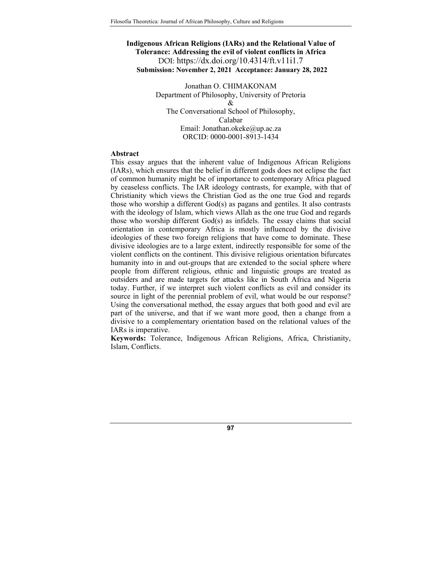# **Indigenous African Religions (IARs) and the Relational Value of Tolerance: Addressing the evil of violent conflicts in Africa**  DOI: https://dx.doi.org/10.4314/ft.v11i1.7 **Submission: November 2, 2021 Acceptance: January 28, 2022**

Jonathan O. CHIMAKONAM Department of Philosophy, University of Pretoria & The Conversational School of Philosophy, Calabar Email: Jonathan.okeke@up.ac.za ORCID: 0000-0001-8913-1434

#### **Abstract**

This essay argues that the inherent value of Indigenous African Religions (IARs), which ensures that the belief in different gods does not eclipse the fact of common humanity might be of importance to contemporary Africa plagued by ceaseless conflicts. The IAR ideology contrasts, for example, with that of Christianity which views the Christian God as the one true God and regards those who worship a different God(s) as pagans and gentiles. It also contrasts with the ideology of Islam, which views Allah as the one true God and regards those who worship different God(s) as infidels. The essay claims that social orientation in contemporary Africa is mostly influenced by the divisive ideologies of these two foreign religions that have come to dominate. These divisive ideologies are to a large extent, indirectly responsible for some of the violent conflicts on the continent. This divisive religious orientation bifurcates humanity into in and out-groups that are extended to the social sphere where people from different religious, ethnic and linguistic groups are treated as outsiders and are made targets for attacks like in South Africa and Nigeria today. Further, if we interpret such violent conflicts as evil and consider its source in light of the perennial problem of evil, what would be our response? Using the conversational method, the essay argues that both good and evil are part of the universe, and that if we want more good, then a change from a divisive to a complementary orientation based on the relational values of the IARs is imperative.

**Keywords:** Tolerance, Indigenous African Religions, Africa, Christianity, Islam, Conflicts.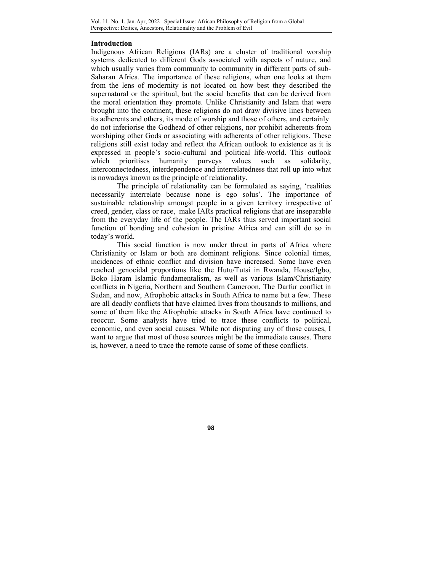### **Introduction**

Indigenous African Religions (IARs) are a cluster of traditional worship systems dedicated to different Gods associated with aspects of nature, and which usually varies from community to community in different parts of sub-Saharan Africa. The importance of these religions, when one looks at them from the lens of modernity is not located on how best they described the supernatural or the spiritual, but the social benefits that can be derived from the moral orientation they promote. Unlike Christianity and Islam that were brought into the continent, these religions do not draw divisive lines between its adherents and others, its mode of worship and those of others, and certainly do not inferiorise the Godhead of other religions, nor prohibit adherents from worshiping other Gods or associating with adherents of other religions. These religions still exist today and reflect the African outlook to existence as it is expressed in people's socio-cultural and political life-world. This outlook which prioritises humanity purveys values such as solidarity, interconnectedness, interdependence and interrelatedness that roll up into what is nowadays known as the principle of relationality.

The principle of relationality can be formulated as saying, 'realities necessarily interrelate because none is ego solus'. The importance of sustainable relationship amongst people in a given territory irrespective of creed, gender, class or race, make IARs practical religions that are inseparable from the everyday life of the people. The IARs thus served important social function of bonding and cohesion in pristine Africa and can still do so in today's world.

This social function is now under threat in parts of Africa where Christianity or Islam or both are dominant religions. Since colonial times, incidences of ethnic conflict and division have increased. Some have even reached genocidal proportions like the Hutu/Tutsi in Rwanda, House/Igbo, Boko Haram Islamic fundamentalism, as well as various Islam/Christianity conflicts in Nigeria, Northern and Southern Cameroon, The Darfur conflict in Sudan, and now, Afrophobic attacks in South Africa to name but a few. These are all deadly conflicts that have claimed lives from thousands to millions, and some of them like the Afrophobic attacks in South Africa have continued to reoccur. Some analysts have tried to trace these conflicts to political, economic, and even social causes. While not disputing any of those causes, I want to argue that most of those sources might be the immediate causes. There is, however, a need to trace the remote cause of some of these conflicts.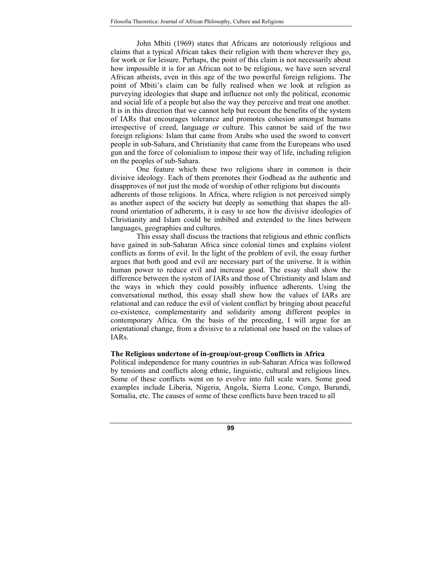John Mbiti (1969) states that Africans are notoriously religious and claims that a typical African takes their religion with them wherever they go, for work or for leisure. Perhaps, the point of this claim is not necessarily about how impossible it is for an African not to be religious, we have seen several African atheists, even in this age of the two powerful foreign religions. The point of Mbiti's claim can be fully realised when we look at religion as purveying ideologies that shape and influence not only the political, economic and social life of a people but also the way they perceive and treat one another. It is in this direction that we cannot help but recount the benefits of the system of IARs that encourages tolerance and promotes cohesion amongst humans irrespective of creed, language or culture. This cannot be said of the two foreign religions: Islam that came from Arabs who used the sword to convert people in sub-Sahara, and Christianity that came from the Europeans who used gun and the force of colonialism to impose their way of life, including religion on the peoples of sub-Sahara.

One feature which these two religions share in common is their divisive ideology. Each of them promotes their Godhead as the authentic and disapproves of not just the mode of worship of other religions but discounts adherents of those religions. In Africa, where religion is not perceived simply as another aspect of the society but deeply as something that shapes the allround orientation of adherents, it is easy to see how the divisive ideologies of Christianity and Islam could be imbibed and extended to the lines between languages, geographies and cultures.

This essay shall discuss the tractions that religious and ethnic conflicts have gained in sub-Saharan Africa since colonial times and explains violent conflicts as forms of evil. In the light of the problem of evil, the essay further argues that both good and evil are necessary part of the universe. It is within human power to reduce evil and increase good. The essay shall show the difference between the system of IARs and those of Christianity and Islam and the ways in which they could possibly influence adherents. Using the conversational method, this essay shall show how the values of IARs are relational and can reduce the evil of violent conflict by bringing about peaceful co-existence, complementarity and solidarity among different peoples in contemporary Africa. On the basis of the preceding, I will argue for an orientational change, from a divisive to a relational one based on the values of IARs.

## **The Religious undertone of in-group/out-group Conflicts in Africa**

Political independence for many countries in sub-Saharan Africa was followed by tensions and conflicts along ethnic, linguistic, cultural and religious lines. Some of these conflicts went on to evolve into full scale wars. Some good examples include Liberia, Nigeria, Angola, Sierra Leone, Congo, Burundi, Somalia, etc. The causes of some of these conflicts have been traced to all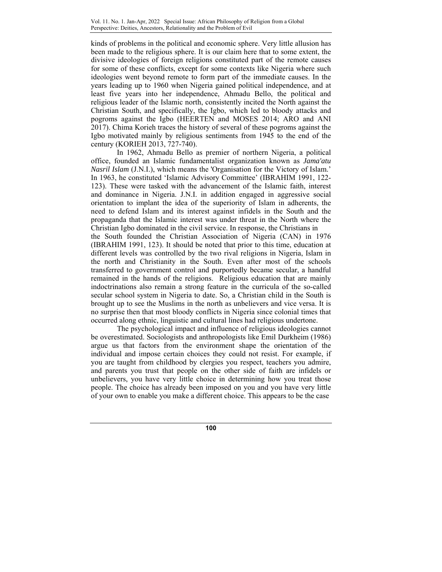kinds of problems in the political and economic sphere. Very little allusion has been made to the religious sphere. It is our claim here that to some extent, the divisive ideologies of foreign religions constituted part of the remote causes for some of these conflicts, except for some contexts like Nigeria where such ideologies went beyond remote to form part of the immediate causes. In the years leading up to 1960 when Nigeria gained political independence, and at least five years into her independence, Ahmadu Bello, the political and religious leader of the Islamic north, consistently incited the North against the Christian South, and specifically, the Igbo, which led to bloody attacks and pogroms against the Igbo (HEERTEN and MOSES 2014; ARO and ANI 2017). Chima Korieh traces the history of several of these pogroms against the Igbo motivated mainly by religious sentiments from 1945 to the end of the century (KORIEH 2013, 727-740).

 In 1962, Ahmadu Bello as premier of northern Nigeria, a political office, founded an Islamic fundamentalist organization known as *Jama'atu Nasril Islam (J.N.I.)*, which means the 'Organisation for the Victory of Islam.' In 1963, he constituted 'Islamic Advisory Committee' (IBRAHIM 1991, 122- 123). These were tasked with the advancement of the Islamic faith, interest and dominance in Nigeria. J.N.I. in addition engaged in aggressive social orientation to implant the idea of the superiority of Islam in adherents, the need to defend Islam and its interest against infidels in the South and the propaganda that the Islamic interest was under threat in the North where the Christian Igbo dominated in the civil service. In response, the Christians in the South founded the Christian Association of Nigeria (CAN) in 1976 (IBRAHIM 1991, 123). It should be noted that prior to this time, education at different levels was controlled by the two rival religions in Nigeria, Islam in the north and Christianity in the South. Even after most of the schools transferred to government control and purportedly became secular, a handful remained in the hands of the religions. Religious education that are mainly indoctrinations also remain a strong feature in the curricula of the so-called secular school system in Nigeria to date. So, a Christian child in the South is brought up to see the Muslims in the north as unbelievers and vice versa. It is no surprise then that most bloody conflicts in Nigeria since colonial times that occurred along ethnic, linguistic and cultural lines had religious undertone.

 The psychological impact and influence of religious ideologies cannot be overestimated. Sociologists and anthropologists like Emil Durkheim (1986) argue us that factors from the environment shape the orientation of the individual and impose certain choices they could not resist. For example, if you are taught from childhood by clergies you respect, teachers you admire, and parents you trust that people on the other side of faith are infidels or unbelievers, you have very little choice in determining how you treat those people. The choice has already been imposed on you and you have very little of your own to enable you make a different choice. This appears to be the case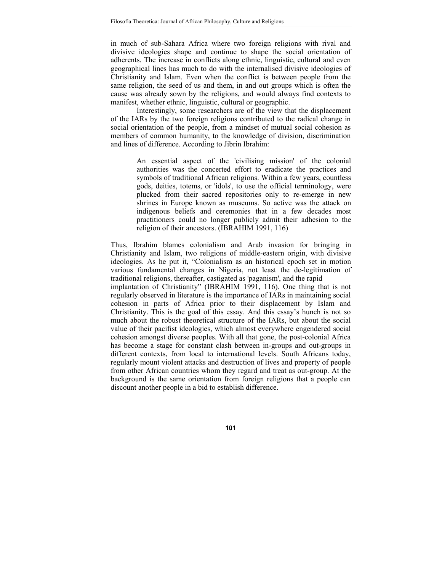in much of sub-Sahara Africa where two foreign religions with rival and divisive ideologies shape and continue to shape the social orientation of adherents. The increase in conflicts along ethnic, linguistic, cultural and even geographical lines has much to do with the internalised divisive ideologies of Christianity and Islam. Even when the conflict is between people from the same religion, the seed of us and them, in and out groups which is often the cause was already sown by the religions, and would always find contexts to manifest, whether ethnic, linguistic, cultural or geographic.

Interestingly, some researchers are of the view that the displacement of the IARs by the two foreign religions contributed to the radical change in social orientation of the people, from a mindset of mutual social cohesion as members of common humanity, to the knowledge of division, discrimination and lines of difference. According to Jibrin Ibrahim:

> An essential aspect of the 'civilising mission' of the colonial authorities was the concerted effort to eradicate the practices and symbols of traditional African religions. Within a few years, countless gods, deities, totems, or 'idols', to use the official terminology, were plucked from their sacred repositories only to re-emerge in new shrines in Europe known as museums. So active was the attack on indigenous beliefs and ceremonies that in a few decades most practitioners could no longer publicly admit their adhesion to the religion of their ancestors. (IBRAHIM 1991, 116)

Thus, Ibrahim blames colonialism and Arab invasion for bringing in Christianity and Islam, two religions of middle-eastern origin, with divisive ideologies. As he put it, "Colonialism as an historical epoch set in motion various fundamental changes in Nigeria, not least the de-legitimation of traditional religions, thereafter, castigated as 'paganism', and the rapid

implantation of Christianity" (IBRAHIM 1991, 116). One thing that is not regularly observed in literature is the importance of IARs in maintaining social cohesion in parts of Africa prior to their displacement by Islam and Christianity. This is the goal of this essay. And this essay's hunch is not so much about the robust theoretical structure of the IARs, but about the social value of their pacifist ideologies, which almost everywhere engendered social cohesion amongst diverse peoples. With all that gone, the post-colonial Africa has become a stage for constant clash between in-groups and out-groups in different contexts, from local to international levels. South Africans today, regularly mount violent attacks and destruction of lives and property of people from other African countries whom they regard and treat as out-group. At the background is the same orientation from foreign religions that a people can discount another people in a bid to establish difference.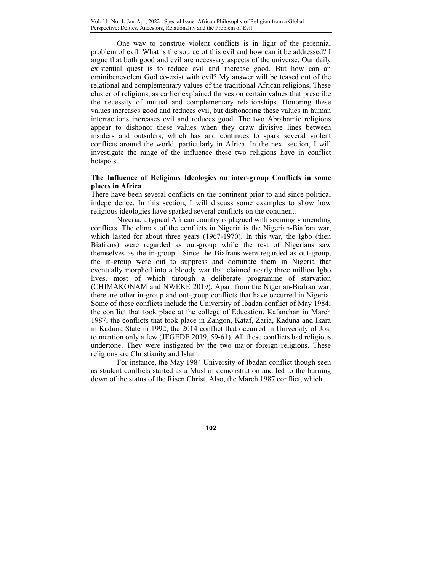One way to construe violent conflicts is in light of the perennial problem of evil. What is the source of this evil and how can it be addressed? I argue that both good and evil are necessary aspects of the universe. Our daily existential quest is to reduce evil and increase good. But how can an ominibenevolent God co-exist with evil? My answer will be teased out of the relational and complementary values of the traditional African religions. These cluster of religions, as earlier explained thrives on certain values that prescribe the necessity of mutual and complementary relationships. Honoring these values increases good and reduces evil, but dishonoring these values in human interractions increases evil and reduces good. The two Abrahamic religions appear to dishonor these values when they draw divisive lines between insiders and outsiders, which has and continues to spark several violent conflicts around the world, particularly in Africa. In the next section, I will investigate the range of the influence these two religions have in conflict hotspots.

## **The Influence of Religious Ideologies on inter-group Conflicts in some places in Africa**

There have been several conflicts on the continent prior to and since political independence. In this section, I will discuss some examples to show how religious ideologies have sparked several conflicts on the continent.

Nigeria, a typical African country is plagued with seemingly unending conflicts. The climax of the conflicts in Nigeria is the Nigerian-Biafran war, which lasted for about three years (1967-1970). In this war, the Igbo (then Biafrans) were regarded as out-group while the rest of Nigerians saw themselves as the in-group. Since the Biafrans were regarded as out-group, the in-group were out to suppress and dominate them in Nigeria that eventually morphed into a bloody war that claimed nearly three million Igbo lives, most of which through a deliberate programme of starvation (CHIMAKONAM and NWEKE 2019). Apart from the Nigerian-Biafran war, there are other in-group and out-group conflicts that have occurred in Nigeria. Some of these conflicts include the University of Ibadan conflict of May 1984; the conflict that took place at the college of Education, Kafanchan in March 1987; the conflicts that took place in Zangon, Kataf, Zaria, Kaduna and Ikara in Kaduna State in 1992, the 2014 conflict that occurred in University of Jos, to mention only a few (JEGEDE 2019, 59-61). All these conflicts had religious undertone. They were instigated by the two major foreign religions. These religions are Christianity and Islam.

For instance, the May 1984 University of Ibadan conflict though seen as student conflicts started as a Muslim demonstration and led to the burning down of the status of the Risen Christ. Also, the March 1987 conflict, which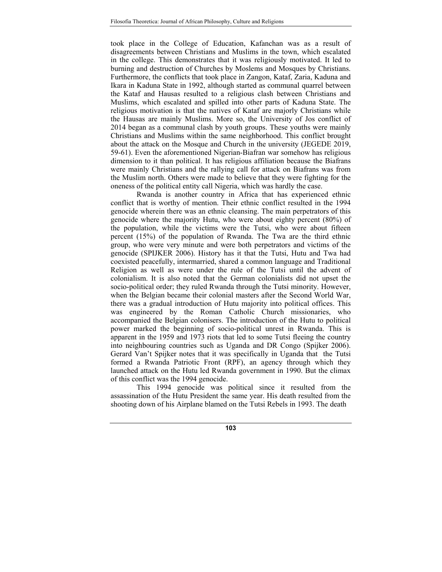took place in the College of Education, Kafanchan was as a result of disagreements between Christians and Muslims in the town, which escalated in the college. This demonstrates that it was religiously motivated. It led to burning and destruction of Churches by Moslems and Mosques by Christians. Furthermore, the conflicts that took place in Zangon, Kataf, Zaria, Kaduna and Ikara in Kaduna State in 1992, although started as communal quarrel between the Kataf and Hausas resulted to a religious clash between Christians and Muslims, which escalated and spilled into other parts of Kaduna State. The religious motivation is that the natives of Kataf are majorly Christians while the Hausas are mainly Muslims. More so, the University of Jos conflict of 2014 began as a communal clash by youth groups. These youths were mainly Christians and Muslims within the same neighborhood. This conflict brought about the attack on the Mosque and Church in the university (JEGEDE 2019, 59-61). Even the aforementioned Nigerian-Biafran war somehow has religious dimension to it than political. It has religious affiliation because the Biafrans were mainly Christians and the rallying call for attack on Biafrans was from the Muslim north. Others were made to believe that they were fighting for the oneness of the political entity call Nigeria, which was hardly the case.

Rwanda is another country in Africa that has experienced ethnic conflict that is worthy of mention. Their ethnic conflict resulted in the 1994 genocide wherein there was an ethnic cleansing. The main perpetrators of this genocide where the majority Hutu, who were about eighty percent (80%) of the population, while the victims were the Tutsi, who were about fifteen percent (15%) of the population of Rwanda. The Twa are the third ethnic group, who were very minute and were both perpetrators and victims of the genocide (SPIJKER 2006). History has it that the Tutsi, Hutu and Twa had coexisted peacefully, intermarried, shared a common language and Traditional Religion as well as were under the rule of the Tutsi until the advent of colonialism. It is also noted that the German colonialists did not upset the socio-political order; they ruled Rwanda through the Tutsi minority. However, when the Belgian became their colonial masters after the Second World War, there was a gradual introduction of Hutu majority into political offices. This was engineered by the Roman Catholic Church missionaries, who accompanied the Belgian colonisers. The introduction of the Hutu to political power marked the beginning of socio-political unrest in Rwanda. This is apparent in the 1959 and 1973 riots that led to some Tutsi fleeing the country into neighbouring countries such as Uganda and DR Congo (Spijker 2006). Gerard Van't Spijker notes that it was specifically in Uganda that the Tutsi formed a Rwanda Patriotic Front (RPF), an agency through which they launched attack on the Hutu led Rwanda government in 1990. But the climax of this conflict was the 1994 genocide.

This 1994 genocide was political since it resulted from the assassination of the Hutu President the same year. His death resulted from the shooting down of his Airplane blamed on the Tutsi Rebels in 1993. The death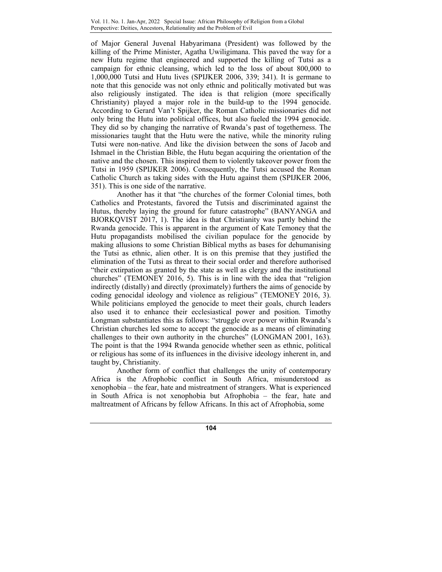of Major General Juvenal Habyarimana (President) was followed by the killing of the Prime Minister, Agatha Uwiligimana. This paved the way for a new Hutu regime that engineered and supported the killing of Tutsi as a campaign for ethnic cleansing, which led to the loss of about 800,000 to 1,000,000 Tutsi and Hutu lives (SPIJKER 2006, 339; 341). It is germane to note that this genocide was not only ethnic and politically motivated but was also religiously instigated. The idea is that religion (more specifically Christianity) played a major role in the build-up to the 1994 genocide. According to Gerard Van't Spijker, the Roman Catholic missionaries did not only bring the Hutu into political offices, but also fueled the 1994 genocide. They did so by changing the narrative of Rwanda's past of togetherness. The missionaries taught that the Hutu were the native, while the minority ruling Tutsi were non-native. And like the division between the sons of Jacob and Ishmael in the Christian Bible, the Hutu began acquiring the orientation of the native and the chosen. This inspired them to violently takeover power from the Tutsi in 1959 (SPIJKER 2006). Consequently, the Tutsi accused the Roman Catholic Church as taking sides with the Hutu against them (SPIJKER 2006, 351). This is one side of the narrative.

Another has it that "the churches of the former Colonial times, both Catholics and Protestants, favored the Tutsis and discriminated against the Hutus, thereby laying the ground for future catastrophe" (BANYANGA and BJORKQVIST 2017, 1). The idea is that Christianity was partly behind the Rwanda genocide. This is apparent in the argument of Kate Temoney that the Hutu propagandists mobilised the civilian populace for the genocide by making allusions to some Christian Biblical myths as bases for dehumanising the Tutsi as ethnic, alien other. It is on this premise that they justified the elimination of the Tutsi as threat to their social order and therefore authorised "their extirpation as granted by the state as well as clergy and the institutional churches" (TEMONEY 2016, 5). This is in line with the idea that "religion indirectly (distally) and directly (proximately) furthers the aims of genocide by coding genocidal ideology and violence as religious" (TEMONEY 2016, 3). While politicians employed the genocide to meet their goals, church leaders also used it to enhance their ecclesiastical power and position. Timothy Longman substantiates this as follows: "struggle over power within Rwanda's Christian churches led some to accept the genocide as a means of eliminating challenges to their own authority in the churches" (LONGMAN 2001, 163). The point is that the 1994 Rwanda genocide whether seen as ethnic, political or religious has some of its influences in the divisive ideology inherent in, and taught by, Christianity.

Another form of conflict that challenges the unity of contemporary Africa is the Afrophobic conflict in South Africa, misunderstood as xenophobia – the fear, hate and mistreatment of strangers. What is experienced in South Africa is not xenophobia but Afrophobia – the fear, hate and maltreatment of Africans by fellow Africans. In this act of Afrophobia, some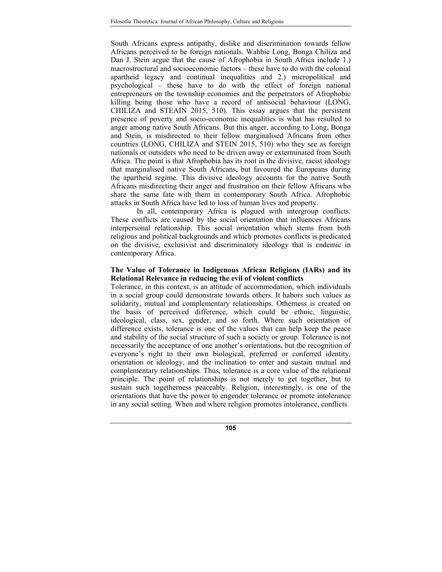South Africans express antipathy, dislike and discrimination towards fellow Africans perceived to be foreign nationals. Wahbie Long, Bonga Chiliza and Dan J. Stein argue that the cause of Afrophobia in South Africa include 1.) macrostructural and socioeconomic factors – these have to do with the colonial apartheid legacy and continual inequalities and 2.) micropolitical and psychological – these have to do with the effect of foreign national entrepreneurs on the township economies and the perpetrators of Afrophobic killing being those who have a record of antisocial behaviour (LONG, CHILIZA and STEAIN 2015, 510). This essay argues that the persistent presence of poverty and socio-economic inequalities is what has resulted to anger among native South Africans. But this anger, according to Long, Bonga and Stein, is misdirected to their fellow marginalised Africans from other countries (LONG, CHILIZA and STEIN 2015, 510) who they see as foreign nationals or outsiders who need to be driven away or exterminated from South Africa. The point is that Afrophobia has its root in the divisive, racist ideology that marginalised native South Africans, but favoured the Europeans during the apartheid regime. This divisive ideology accounts for the native South Africans misdirecting their anger and frustration on their fellow Africans who share the same fate with them in contemporary South Africa. Afrophobic attacks in South Africa have led to loss of human lives and property.

In all, contemporary Africa is plagued with intergroup conflicts. These conflicts are caused by the social orientation that influences Africans interpersonal relationship. This social orientation which stems from both religious and political backgrounds and which promotes conflicts is predicated on the divisive, exclusivist and discriminatory ideology that is endemic in contemporary Africa.

## **The Value of Tolerance in Indigenous African Religions (IARs) and its Relational Relevance in reducing the evil of violent conflicts**

Tolerance, in this context, is an attitude of accommodation, which individuals in a social group could demonstrate towards others. It habors such values as solidarity, mutual and complementary relationships. Otherness is created on the basis of perceived difference, which could be ethnic, linguistic, ideological, class, sex, gender, and so forth. Where such orientation of difference exists, tolerance is one of the values that can help keep the peace and stability of the social structure of such a society or group. Tolerance is not necessarily the acceptance of one another's orientations, but the recognition of everyone's right to their own biological, preferred or conferred identity, orientation or ideology, and the inclination to enter and sustain mutual and complementary relationships. Thus, tolerance is a core value of the relational principle. The point of relationships is not merely to get together, but to sustain such togetherness peaceably. Religion, interestingly, is one of the orientations that have the power to engender tolerance or promote intolerance in any social setting. When and where religion promotes intolerance, conflicts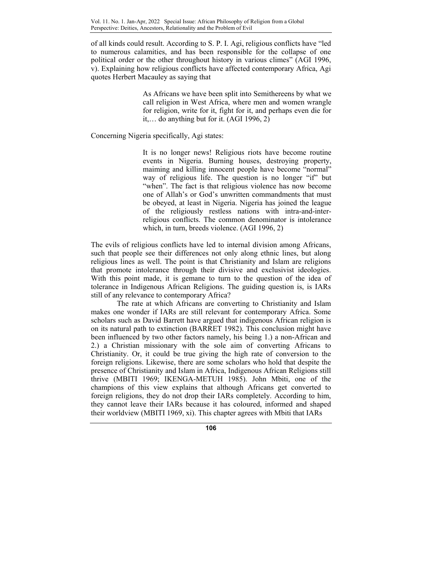of all kinds could result. According to S. P. I. Agi, religious conflicts have "led to numerous calamities, and has been responsible for the collapse of one political order or the other throughout history in various climes" (AGI 1996, v). Explaining how religious conflicts have affected contemporary Africa, Agi quotes Herbert Macauley as saying that

> As Africans we have been split into Semithereens by what we call religion in West Africa, where men and women wrangle for religion, write for it, fight for it, and perhaps even die for it,… do anything but for it. (AGI 1996, 2)

Concerning Nigeria specifically, Agi states:

It is no longer news! Religious riots have become routine events in Nigeria. Burning houses, destroying property, maiming and killing innocent people have become "normal" way of religious life. The question is no longer "if" but "when". The fact is that religious violence has now become one of Allah's or God's unwritten commandments that must be obeyed, at least in Nigeria. Nigeria has joined the league of the religiously restless nations with intra-and-interreligious conflicts. The common denominator is intolerance which, in turn, breeds violence. (AGI 1996, 2)

The evils of religious conflicts have led to internal division among Africans, such that people see their differences not only along ethnic lines, but along religious lines as well. The point is that Christianity and Islam are religions that promote intolerance through their divisive and exclusivist ideologies. With this point made, it is gemane to turn to the question of the idea of tolerance in Indigenous African Religions. The guiding question is, is IARs still of any relevance to contemporary Africa?

 The rate at which Africans are converting to Christianity and Islam makes one wonder if IARs are still relevant for contemporary Africa. Some scholars such as David Barrett have argued that indigenous African religion is on its natural path to extinction (BARRET 1982). This conclusion might have been influenced by two other factors namely, his being 1.) a non-African and 2.) a Christian missionary with the sole aim of converting Africans to Christianity. Or, it could be true giving the high rate of conversion to the foreign religions. Likewise, there are some scholars who hold that despite the presence of Christianity and Islam in Africa, Indigenous African Religions still thrive (MBITI 1969; IKENGA-METUH 1985). John Mbiti, one of the champions of this view explains that although Africans get converted to foreign religions, they do not drop their IARs completely. According to him, they cannot leave their IARs because it has coloured, informed and shaped their worldview (MBITI 1969, xi). This chapter agrees with Mbiti that IARs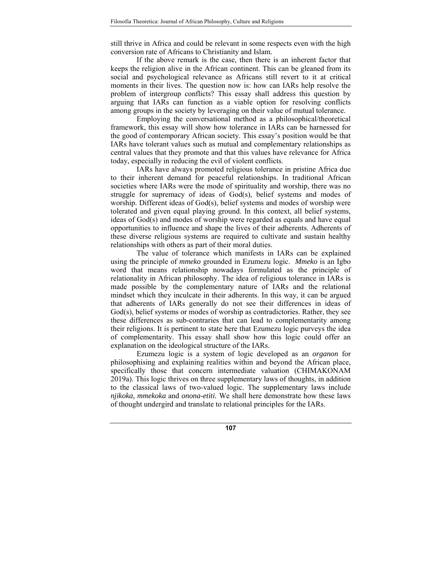still thrive in Africa and could be relevant in some respects even with the high conversion rate of Africans to Christianity and Islam.

If the above remark is the case, then there is an inherent factor that keeps the religion alive in the African continent. This can be gleaned from its social and psychological relevance as Africans still revert to it at critical moments in their lives. The question now is: how can IARs help resolve the problem of intergroup conflicts? This essay shall address this question by arguing that IARs can function as a viable option for resolving conflicts among groups in the society by leveraging on their value of mutual tolerance.

Employing the conversational method as a philosophical/theoretical framework, this essay will show how tolerance in IARs can be harnessed for the good of contemporary African society. This essay's position would be that IARs have tolerant values such as mutual and complementary relationships as central values that they promote and that this values have relevance for Africa today, especially in reducing the evil of violent conflicts.

IARs have always promoted religious tolerance in pristine Africa due to their inherent demand for peaceful relationships. In traditional African societies where IARs were the mode of spirituality and worship, there was no struggle for supremacy of ideas of God(s), belief systems and modes of worship. Different ideas of God(s), belief systems and modes of worship were tolerated and given equal playing ground. In this context, all belief systems, ideas of God(s) and modes of worship were regarded as equals and have equal opportunities to influence and shape the lives of their adherents. Adherents of these diverse religious systems are required to cultivate and sustain healthy relationships with others as part of their moral duties.

The value of tolerance which manifests in IARs can be explained using the principle of *mmeko* grounded in Ezumezu logic. *Mmeko* is an Igbo word that means relationship nowadays formulated as the principle of relationality in African philosophy. The idea of religious tolerance in IARs is made possible by the complementary nature of IARs and the relational mindset which they inculcate in their adherents. In this way, it can be argued that adherents of IARs generally do not see their differences in ideas of God(s), belief systems or modes of worship as contradictories. Rather, they see these differences as sub-contraries that can lead to complementarity among their religions. It is pertinent to state here that Ezumezu logic purveys the idea of complementarity. This essay shall show how this logic could offer an explanation on the ideological structure of the IARs.

Ezumezu logic is a system of logic developed as an *organon* for philosophising and explaining realities within and beyond the African place, specifically those that concern intermediate valuation (CHIMAKONAM 2019a). This logic thrives on three supplementary laws of thoughts, in addition to the classical laws of two-valued logic. The supplementary laws include *njikoka, mmekoka* and *onona-etiti.* We shall here demonstrate how these laws of thought undergird and translate to relational principles for the IARs.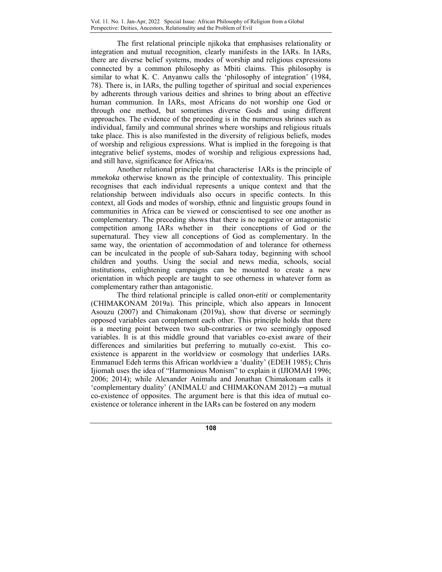The first relational principle njikoka that emphasises relationality or integration and mutual recognition, clearly manifests in the IARs. In IARs, there are diverse belief systems, modes of worship and religious expressions connected by a common philosophy as Mbiti claims. This philosophy is similar to what K. C. Anyanwu calls the 'philosophy of integration' (1984, 78). There is, in IARs, the pulling together of spiritual and social experiences by adherents through various deities and shrines to bring about an effective human communion. In IARs, most Africans do not worship one God or through one method, but sometimes diverse Gods and using different approaches. The evidence of the preceding is in the numerous shrines such as individual, family and communal shrines where worships and religious rituals take place. This is also manifested in the diversity of religious beliefs, modes of worship and religious expressions. What is implied in the foregoing is that integrative belief systems, modes of worship and religious expressions had, and still have, significance for Africa/ns.

Another relational principle that characterise IARs is the principle of *mmekoka* otherwise known as the principle of contextuality. This principle recognises that each individual represents a unique context and that the relationship between individuals also occurs in specific contects. In this context, all Gods and modes of worship, ethnic and linguistic groups found in communities in Africa can be viewed or conscientised to see one another as complementary. The preceding shows that there is no negative or antagonistic competition among IARs whether in their conceptions of God or the supernatural. They view all conceptions of God as complementary. In the same way, the orientation of accommodation of and tolerance for otherness can be inculcated in the people of sub-Sahara today, beginning with school children and youths. Using the social and news media, schools, social institutions, enlightening campaigns can be mounted to create a new orientation in which people are taught to see otherness in whatever form as complementary rather than antagonistic.

The third relational principle is called *onon-etiti* or complementarity (CHIMAKONAM 2019a)*.* This principle, which also appears in Innocent Asouzu (2007) and Chimakonam (2019a), show that diverse or seemingly opposed variables can complement each other. This principle holds that there is a meeting point between two sub-contraries or two seemingly opposed variables. It is at this middle ground that variables co-exist aware of their differences and similarities but preferring to mutually co-exist. This coexistence is apparent in the worldview or cosmology that underlies IARs. Emmanuel Edeh terms this African worldview a 'duality' (EDEH 1985); Chris Ijiomah uses the idea of "Harmonious Monism" to explain it (IJIOMAH 1996; 2006; 2014); while Alexander Animalu and Jonathan Chimakonam calls it 'complementary duality' (ANIMALU and CHIMAKONAM 2012) ─a mutual co-existence of opposites. The argument here is that this idea of mutual coexistence or tolerance inherent in the IARs can be fostered on any modern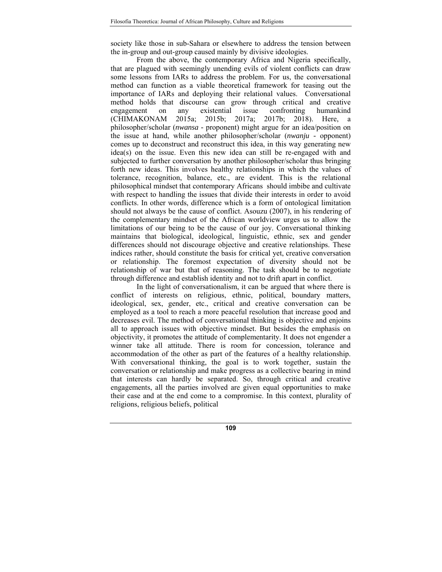society like those in sub-Sahara or elsewhere to address the tension between the in-group and out-group caused mainly by divisive ideologies.

From the above, the contemporary Africa and Nigeria specifically, that are plagued with seemingly unending evils of violent conflicts can draw some lessons from IARs to address the problem. For us, the conversational method can function as a viable theoretical framework for teasing out the importance of IARs and deploying their relational values. Conversational method holds that discourse can grow through critical and creative engagement on any existential issue confronting humankind (CHIMAKONAM 2015a; 2015b; 2017a; 2017b; 2018). Here, a philosopher/scholar (*nwansa -* proponent) might argue for an idea/position on the issue at hand, while another philosopher/scholar (*nwanju -* opponent) comes up to deconstruct and reconstruct this idea, in this way generating new idea(s) on the issue. Even this new idea can still be re-engaged with and subjected to further conversation by another philosopher/scholar thus bringing forth new ideas. This involves healthy relationships in which the values of tolerance, recognition, balance, etc., are evident. This is the relational philosophical mindset that contemporary Africans should imbibe and cultivate with respect to handling the issues that divide their interests in order to avoid conflicts. In other words, difference which is a form of ontological limitation should not always be the cause of conflict. Asouzu (2007), in his rendering of the complementary mindset of the African worldview urges us to allow the limitations of our being to be the cause of our joy. Conversational thinking maintains that biological, ideological, linguistic, ethnic, sex and gender differences should not discourage objective and creative relationships. These indices rather, should constitute the basis for critical yet, creative conversation or relationship. The foremost expectation of diversity should not be relationship of war but that of reasoning. The task should be to negotiate through difference and establish identity and not to drift apart in conflict.

In the light of conversationalism, it can be argued that where there is conflict of interests on religious, ethnic, political, boundary matters, ideological, sex, gender, etc., critical and creative conversation can be employed as a tool to reach a more peaceful resolution that increase good and decreases evil. The method of conversational thinking is objective and enjoins all to approach issues with objective mindset. But besides the emphasis on objectivity, it promotes the attitude of complementarity. It does not engender a winner take all attitude. There is room for concession, tolerance and accommodation of the other as part of the features of a healthy relationship. With conversational thinking, the goal is to work together, sustain the conversation or relationship and make progress as a collective bearing in mind that interests can hardly be separated. So, through critical and creative engagements, all the parties involved are given equal opportunities to make their case and at the end come to a compromise. In this context, plurality of religions, religious beliefs, political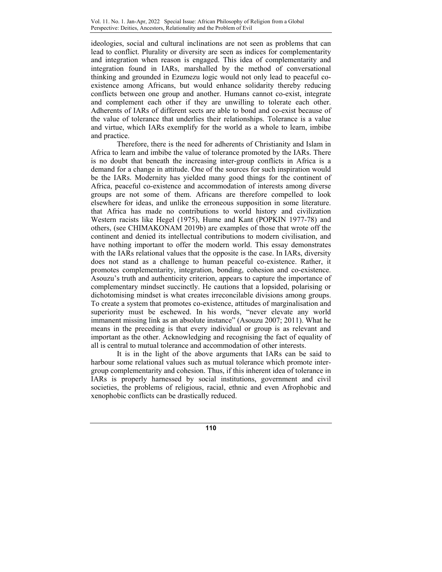ideologies, social and cultural inclinations are not seen as problems that can lead to conflict. Plurality or diversity are seen as indices for complementarity and integration when reason is engaged. This idea of complementarity and integration found in IARs, marshalled by the method of conversational thinking and grounded in Ezumezu logic would not only lead to peaceful coexistence among Africans, but would enhance solidarity thereby reducing conflicts between one group and another. Humans cannot co-exist, integrate and complement each other if they are unwilling to tolerate each other. Adherents of IARs of different sects are able to bond and co-exist because of the value of tolerance that underlies their relationships. Tolerance is a value and virtue, which IARs exemplify for the world as a whole to learn, imbibe and practice.

Therefore, there is the need for adherents of Christianity and Islam in Africa to learn and imbibe the value of tolerance promoted by the IARs. There is no doubt that beneath the increasing inter-group conflicts in Africa is a demand for a change in attitude. One of the sources for such inspiration would be the IARs. Modernity has yielded many good things for the continent of Africa, peaceful co-existence and accommodation of interests among diverse groups are not some of them. Africans are therefore compelled to look elsewhere for ideas, and unlike the erroneous supposition in some literature. that Africa has made no contributions to world history and civilization Western racists like Hegel (1975), Hume and Kant (POPKIN 1977-78) and others, (see CHIMAKONAM 2019b) are examples of those that wrote off the continent and denied its intellectual contributions to modern civilisation, and have nothing important to offer the modern world. This essay demonstrates with the IARs relational values that the opposite is the case. In IARs, diversity does not stand as a challenge to human peaceful co-existence. Rather, it promotes complementarity, integration, bonding, cohesion and co-existence. Asouzu's truth and authenticity criterion, appears to capture the importance of complementary mindset succinctly. He cautions that a lopsided, polarising or dichotomising mindset is what creates irreconcilable divisions among groups. To create a system that promotes co-existence, attitudes of marginalisation and superiority must be eschewed. In his words, "never elevate any world immanent missing link as an absolute instance" (Asouzu 2007; 2011). What he means in the preceding is that every individual or group is as relevant and important as the other. Acknowledging and recognising the fact of equality of all is central to mutual tolerance and accommodation of other interests.

It is in the light of the above arguments that IARs can be said to harbour some relational values such as mutual tolerance which promote intergroup complementarity and cohesion. Thus, if this inherent idea of tolerance in IARs is properly harnessed by social institutions, government and civil societies, the problems of religious, racial, ethnic and even Afrophobic and xenophobic conflicts can be drastically reduced.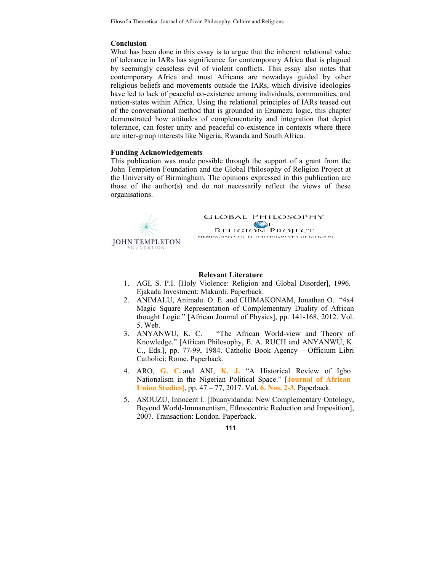### **Conclusion**

What has been done in this essay is to argue that the inherent relational value of tolerance in IARs has significance for contemporary Africa that is plagued by seemingly ceaseless evil of violent conflicts. This essay also notes that contemporary Africa and most Africans are nowadays guided by other religious beliefs and movements outside the IARs, which divisive ideologies have led to lack of peaceful co-existence among individuals, communities, and nation-states within Africa. Using the relational principles of IARs teased out of the conversational method that is grounded in Ezumezu logic, this chapter demonstrated how attitudes of complementarity and integration that depict tolerance, can foster unity and peaceful co-existence in contexts where there are inter-group interests like Nigeria, Rwanda and South Africa.

#### **Funding Acknowledgements**

This publication was made possible through the support of a grant from the John Templeton Foundation and the Global Philosophy of Religion Project at the University of Birmingham. The opinions expressed in this publication are those of the author(s) and do not necessarily reflect the views of these organisations.



#### **Relevant Literature**

- 1. AGI, S. P.I. [Holy Violence: Religion and Global Disorder], 1996*.* Ejakada Investment: Makurdi. Paperback.
- 2. ANIMALU, Animalu. O. E. and CHIMAKONAM, Jonathan O. "4x4 Magic Square Representation of Complementary Duality of African thought Logic." [African Journal of Physics], pp. 141-168, 2012. Vol. 5. Web.
- 3. ANYANWU, K. C. "The African World-view and Theory of Knowledge." [African Philosophy, E. A. RUCH and ANYANWU, K. C., Eds.], pp. 77-99, 1984. Catholic Book Agency – Officium Libri Catholici: Rome. Paperback.
- 4. ARO, **G. C.** and ANI, **K. J.** "A Historical Review of Igbo Nationalism in the Nigerian Political Space." [**Journal of African Union Studies]**, pp. 47 – 77, 2017. Vol. **6. Nos. 2-3**. Paperback.
- 5. ASOUZU, Innocent I. [Ibuanyidanda: New Complementary Ontology, Beyond World-Immanentism, Ethnocentric Reduction and Imposition], 2007. Transaction: London. Paperback.

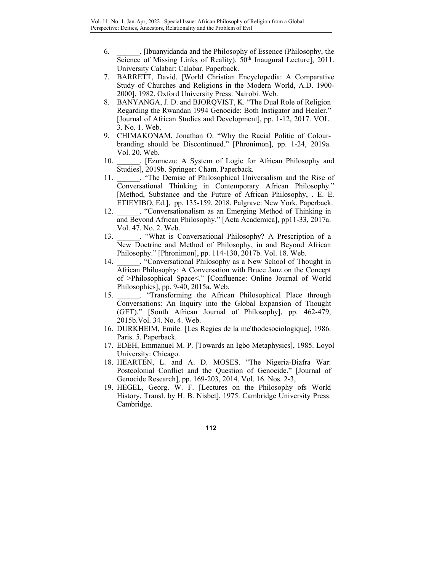- 6. \_\_\_\_\_\_. [Ibuanyidanda and the Philosophy of Essence (Philosophy, the Science of Missing Links of Reality). 50<sup>th</sup> Inaugural Lecture], 2011. University Calabar: Calabar. Paperback.
- 7. BARRETT, David. [World Christian Encyclopedia: A Comparative Study of Churches and Religions in the Modern World, A.D. 1900- 2000], 1982. Oxford University Press: Nairobi. Web.
- 8. BANYANGA, J. D. and BJORQVIST, K. "The Dual Role of Religion Regarding the Rwandan 1994 Genocide: Both Instigator and Healer." [Journal of African Studies and Development], pp. 1-12, 2017. VOL. 3. No. 1. Web.
- 9. CHIMAKONAM, Jonathan O. "Why the Racial Politic of Colourbranding should be Discontinued." [Phronimon]*,* pp. 1-24, 2019a. Vol. 20. Web.
- 10. **Exumezu:** A System of Logic for African Philosophy and Studies], 2019b. Springer: Cham. Paperback.
- 11. **The Demise of Philosophical Universalism and the Rise of** Conversational Thinking in Contemporary African Philosophy." [Method, Substance and the Future of African Philosophy, *.* E. E. ETIEYIBO, Ed.], pp. 135-159, 2018. Palgrave: New York. Paperback.
- 12. **Conversationalism as an Emerging Method of Thinking in** and Beyond African Philosophy." [Acta Academica]*,* pp11-33, 2017a. Vol. 47. No. 2. Web.
- 13. **What is Conversational Philosophy?** A Prescription of a New Doctrine and Method of Philosophy, in and Beyond African Philosophy." [Phronimon], pp. 114-130, 2017b. Vol. 18. Web.
- 14. Conversational Philosophy as a New School of Thought in African Philosophy: A Conversation with Bruce Janz on the Concept of >Philosophical Space<." [Confluence: Online Journal of World Philosophies], pp. 9-40, 2015a. Web.
- 15. \_\_\_\_\_\_. "Transforming the African Philosophical Place through Conversations: An Inquiry into the Global Expansion of Thought (GET)." [South African Journal of Philosophy], pp. 462-479, 2015b.Vol. 34. No. 4. Web.
- 16. DURKHEIM, Emile. [Les Regies de la me'thodesociologique], 1986. Paris. 5. Paperback.
- 17. EDEH, Emmanuel M. P. [Towards an Igbo Metaphysics], 1985. Loyol University: Chicago.
- 18. HEARTEN, L. and A. D. MOSES. "The Nigeria-Biafra War: Postcolonial Conflict and the Question of Genocide." [Journal of Genocide Research]*,* pp. 169-203, 2014. Vol. 16. Nos. 2-3,
- 19. HEGEL, Georg. W. F. [Lectures on the Philosophy ofs World History, Transl. by H. B. Nisbet], 1975. Cambridge University Press: Cambridge.